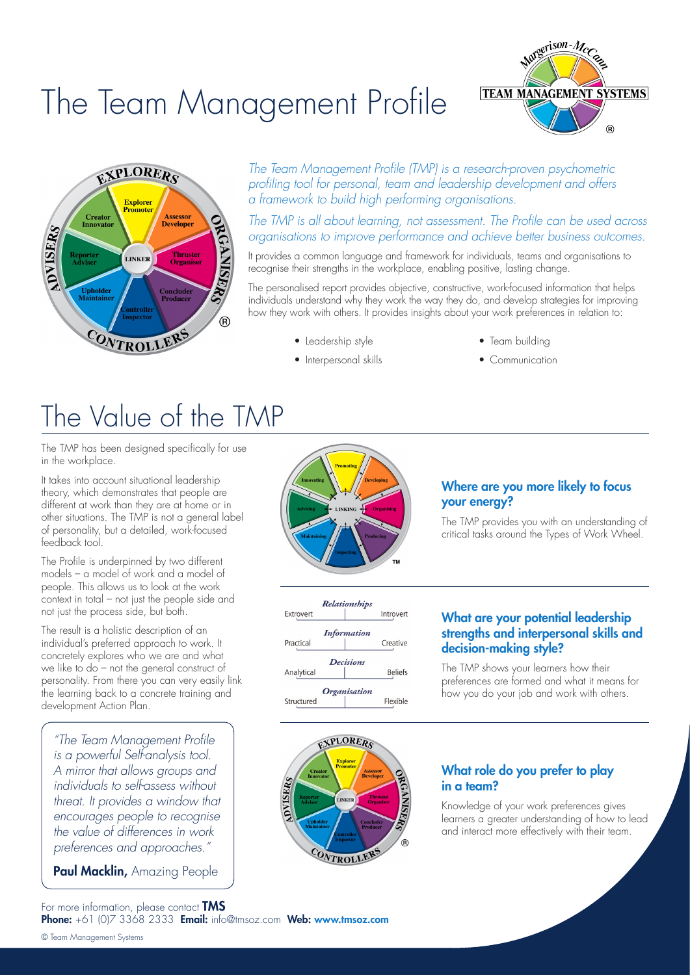# The Team Management Profile





*The Team Management Profile (TMP) is a research-proven psychometric profiling tool for personal, team and leadership development and offers a framework to build high performing organisations.* 

*The TMP is all about learning, not assessment. The Profile can be used across organisations to improve performance and achieve better business outcomes.* 

It provides a common language and framework for individuals, teams and organisations to recognise their strengths in the workplace, enabling positive, lasting change.

The personalised report provides objective, constructive, work-focused information that helps individuals understand why they work the way they do, and develop strategies for improving how they work with others. It provides insights about your work preferences in relation to:

• Leadership style

• Interpersonal skills

- Team building
- Communication

## The Value of the TMP

The TMP has been designed specifically for use in the workplace.

It takes into account situational leadership theory, which demonstrates that people are different at work than they are at home or in other situations. The TMP<sup>'</sup> is not a general label of personality, but a detailed, work-focused feedback tool.

The Profile is underpinned by two different models – a model of work and a model of people. This allows us to look at the work context in total – not just the people side and not just the process side, but both.

The result is a holistic description of an individual's preferred approach to work. It concretely explores who we are and what we like to do – not the general construct of personality. From there you can very easily link the learning back to a concrete training and development Action Plan.

*"The Team Management Profile is a powerful Self-analysis tool. A mirror that allows groups and individuals to self-assess without threat. It provides a window that encourages people to recognise the value of differences in work preferences and approaches."*

Paul Macklin, Amazing People



### Where are you more likely to focus your energy?

The TMP provides you with an understanding of critical tasks around the Types of Work Wheel.



#### What are your potential leadership strengths and interpersonal skills and decision-making style?

The TMP shows your learners how their preferences are formed and what it means for how you do your job and work with others.

# **XPLORERS ISER** CONTROLLER

#### What role do you prefer to play in a team?

Knowledge of your work preferences gives learners a greater understanding of how to lead and interact more effectively with their team.

Phone: +61 (0)7 3368 2333 Email: info@tmsoz.com Web: www.tmsoz.com